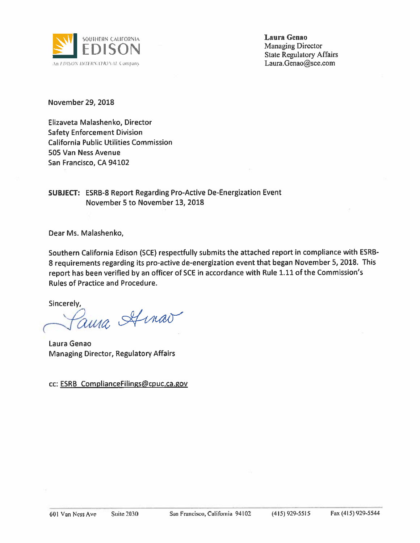

**Laura Genao Managing Director State Regulatory Affairs** Laura.Genao@sce.com

**November 29, 2018** 

Elizaveta Malashenko, Director **Safety Enforcement Division California Public Utilities Commission** 505 Van Ness Avenue San Francisco, CA 94102

**SUBJECT: ESRB-8 Report Regarding Pro-Active De-Energization Event** November 5 to November 13, 2018

Dear Ms. Malashenko,

Southern California Edison (SCE) respectfully submits the attached report in compliance with ESRB-8 requirements regarding its pro-active de-energization event that began November 5, 2018. This report has been verified by an officer of SCE in accordance with Rule 1.11 of the Commission's **Rules of Practice and Procedure.** 

Sincerely,

ama Amao

Laura Genao **Managing Director, Regulatory Affairs** 

cc: ESRB ComplianceFilings@cpuc.ca.gov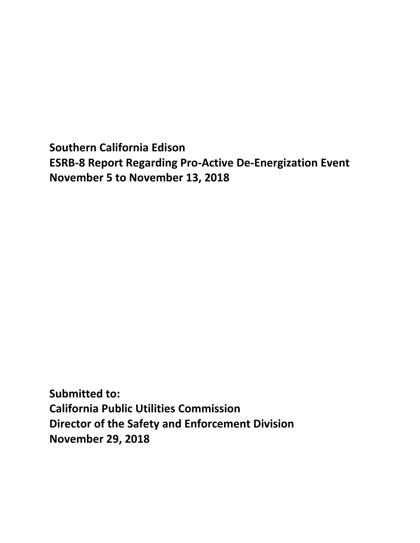**Southern California Edison ESRB-8 Report Regarding Pro-Active De-Energization Event November 5 to November 13, 2018**

**Submitted to: California Public Utilities Commission Director of the Safety and Enforcement Division November 29, 2018**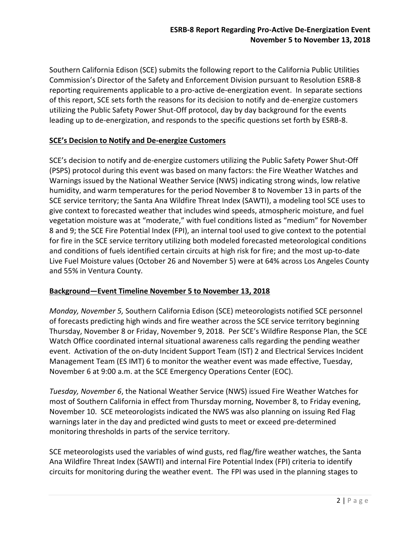Southern California Edison (SCE) submits the following report to the California Public Utilities Commission's Director of the Safety and Enforcement Division pursuant to Resolution ESRB-8 reporting requirements applicable to a pro-active de-energization event. In separate sections of this report, SCE sets forth the reasons for its decision to notify and de-energize customers utilizing the Public Safety Power Shut-Off protocol, day by day background for the events leading up to de-energization, and responds to the specific questions set forth by ESRB-8.

## **SCE's Decision to Notify and De-energize Customers**

SCE's decision to notify and de-energize customers utilizing the Public Safety Power Shut-Off (PSPS) protocol during this event was based on many factors: the Fire Weather Watches and Warnings issued by the National Weather Service (NWS) indicating strong winds, low relative humidity, and warm temperatures for the period November 8 to November 13 in parts of the SCE service territory; the Santa Ana Wildfire Threat Index (SAWTI), a modeling tool SCE uses to give context to forecasted weather that includes wind speeds, atmospheric moisture, and fuel vegetation moisture was at "moderate," with fuel conditions listed as "medium" for November 8 and 9; the SCE Fire Potential Index (FPI), an internal tool used to give context to the potential for fire in the SCE service territory utilizing both modeled forecasted meteorological conditions and conditions of fuels identified certain circuits at high risk for fire; and the most up-to-date Live Fuel Moisture values (October 26 and November 5) were at 64% across Los Angeles County and 55% in Ventura County.

### **Background—Event Timeline November 5 to November 13, 2018**

*Monday, November 5,* Southern California Edison (SCE) meteorologists notified SCE personnel of forecasts predicting high winds and fire weather across the SCE service territory beginning Thursday, November 8 or Friday, November 9, 2018. Per SCE's Wildfire Response Plan, the SCE Watch Office coordinated internal situational awareness calls regarding the pending weather event. Activation of the on-duty Incident Support Team (IST) 2 and Electrical Services Incident Management Team (ES IMT) 6 to monitor the weather event was made effective, Tuesday, November 6 at 9:00 a.m. at the SCE Emergency Operations Center (EOC).

*Tuesday, November 6*, the National Weather Service (NWS) issued Fire Weather Watches for most of Southern California in effect from Thursday morning, November 8, to Friday evening, November 10. SCE meteorologists indicated the NWS was also planning on issuing Red Flag warnings later in the day and predicted wind gusts to meet or exceed pre-determined monitoring thresholds in parts of the service territory.

SCE meteorologists used the variables of wind gusts, red flag/fire weather watches, the Santa Ana Wildfire Threat Index (SAWTI) and internal Fire Potential Index (FPI) criteria to identify circuits for monitoring during the weather event. The FPI was used in the planning stages to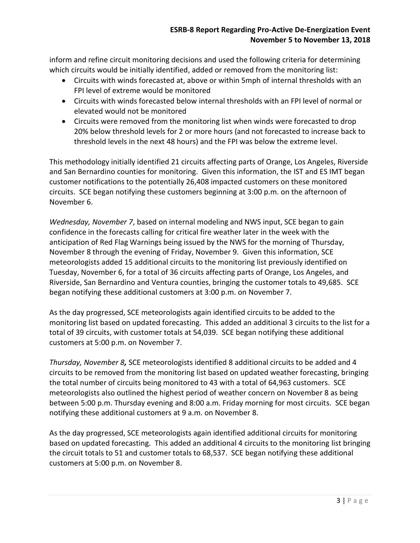inform and refine circuit monitoring decisions and used the following criteria for determining which circuits would be initially identified, added or removed from the monitoring list:

- Circuits with winds forecasted at, above or within 5mph of internal thresholds with an FPI level of extreme would be monitored
- Circuits with winds forecasted below internal thresholds with an FPI level of normal or elevated would not be monitored
- Circuits were removed from the monitoring list when winds were forecasted to drop 20% below threshold levels for 2 or more hours (and not forecasted to increase back to threshold levels in the next 48 hours) and the FPI was below the extreme level.

This methodology initially identified 21 circuits affecting parts of Orange, Los Angeles, Riverside and San Bernardino counties for monitoring. Given this information, the IST and ES IMT began customer notifications to the potentially 26,408 impacted customers on these monitored circuits. SCE began notifying these customers beginning at 3:00 p.m. on the afternoon of November 6.

*Wednesday, November 7*, based on internal modeling and NWS input, SCE began to gain confidence in the forecasts calling for critical fire weather later in the week with the anticipation of Red Flag Warnings being issued by the NWS for the morning of Thursday, November 8 through the evening of Friday, November 9. Given this information, SCE meteorologists added 15 additional circuits to the monitoring list previously identified on Tuesday, November 6, for a total of 36 circuits affecting parts of Orange, Los Angeles, and Riverside, San Bernardino and Ventura counties, bringing the customer totals to 49,685. SCE began notifying these additional customers at 3:00 p.m. on November 7.

As the day progressed, SCE meteorologists again identified circuits to be added to the monitoring list based on updated forecasting. This added an additional 3 circuits to the list for a total of 39 circuits, with customer totals at 54,039. SCE began notifying these additional customers at 5:00 p.m. on November 7.

*Thursday, November 8,* SCE meteorologists identified 8 additional circuits to be added and 4 circuits to be removed from the monitoring list based on updated weather forecasting, bringing the total number of circuits being monitored to 43 with a total of 64,963 customers. SCE meteorologists also outlined the highest period of weather concern on November 8 as being between 5:00 p.m. Thursday evening and 8:00 a.m. Friday morning for most circuits. SCE began notifying these additional customers at 9 a.m. on November 8.

As the day progressed, SCE meteorologists again identified additional circuits for monitoring based on updated forecasting. This added an additional 4 circuits to the monitoring list bringing the circuit totals to 51 and customer totals to 68,537. SCE began notifying these additional customers at 5:00 p.m. on November 8.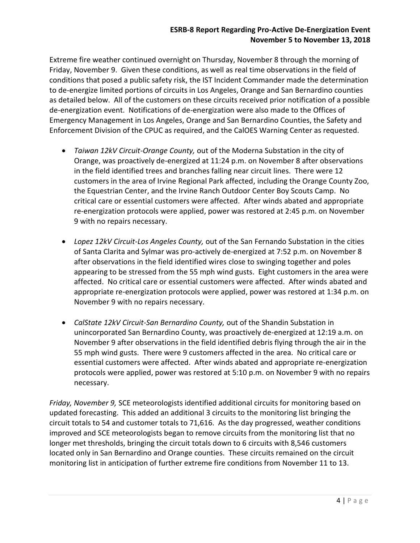Extreme fire weather continued overnight on Thursday, November 8 through the morning of Friday, November 9. Given these conditions, as well as real time observations in the field of conditions that posed a public safety risk, the IST Incident Commander made the determination to de-energize limited portions of circuits in Los Angeles, Orange and San Bernardino counties as detailed below. All of the customers on these circuits received prior notification of a possible de-energization event. Notifications of de-energization were also made to the Offices of Emergency Management in Los Angeles, Orange and San Bernardino Counties, the Safety and Enforcement Division of the CPUC as required, and the CalOES Warning Center as requested.

- *Taiwan 12kV Circuit-Orange County,* out of the Moderna Substation in the city of Orange, was proactively de-energized at 11:24 p.m. on November 8 after observations in the field identified trees and branches falling near circuit lines. There were 12 customers in the area of Irvine Regional Park affected, including the Orange County Zoo, the Equestrian Center, and the Irvine Ranch Outdoor Center Boy Scouts Camp. No critical care or essential customers were affected. After winds abated and appropriate re-energization protocols were applied, power was restored at 2:45 p.m. on November 9 with no repairs necessary.
- *Lopez 12kV Circuit-Los Angeles County,* out of the San Fernando Substation in the cities of Santa Clarita and Sylmar was pro-actively de-energized at 7:52 p.m. on November 8 after observations in the field identified wires close to swinging together and poles appearing to be stressed from the 55 mph wind gusts. Eight customers in the area were affected. No critical care or essential customers were affected. After winds abated and appropriate re-energization protocols were applied, power was restored at 1:34 p.m. on November 9 with no repairs necessary.
- *CalState 12kV Circuit-San Bernardino County,* out of the Shandin Substation in unincorporated San Bernardino County, was proactively de-energized at 12:19 a.m. on November 9 after observations in the field identified debris flying through the air in the 55 mph wind gusts. There were 9 customers affected in the area. No critical care or essential customers were affected. After winds abated and appropriate re-energization protocols were applied, power was restored at 5:10 p.m. on November 9 with no repairs necessary.

*Friday, November 9,* SCE meteorologists identified additional circuits for monitoring based on updated forecasting. This added an additional 3 circuits to the monitoring list bringing the circuit totals to 54 and customer totals to 71,616. As the day progressed, weather conditions improved and SCE meteorologists began to remove circuits from the monitoring list that no longer met thresholds, bringing the circuit totals down to 6 circuits with 8,546 customers located only in San Bernardino and Orange counties. These circuits remained on the circuit monitoring list in anticipation of further extreme fire conditions from November 11 to 13.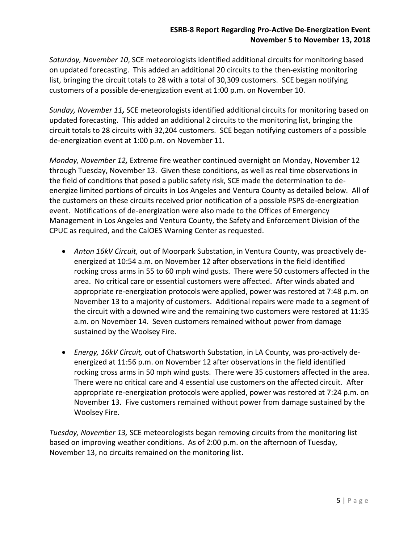*Saturday, November 10*, SCE meteorologists identified additional circuits for monitoring based on updated forecasting. This added an additional 20 circuits to the then-existing monitoring list, bringing the circuit totals to 28 with a total of 30,309 customers. SCE began notifying customers of a possible de-energization event at 1:00 p.m. on November 10.

*Sunday, November 11,* SCE meteorologists identified additional circuits for monitoring based on updated forecasting. This added an additional 2 circuits to the monitoring list, bringing the circuit totals to 28 circuits with 32,204 customers. SCE began notifying customers of a possible de-energization event at 1:00 p.m. on November 11.

*Monday, November 12,* Extreme fire weather continued overnight on Monday, November 12 through Tuesday, November 13. Given these conditions, as well as real time observations in the field of conditions that posed a public safety risk, SCE made the determination to deenergize limited portions of circuits in Los Angeles and Ventura County as detailed below. All of the customers on these circuits received prior notification of a possible PSPS de-energization event. Notifications of de-energization were also made to the Offices of Emergency Management in Los Angeles and Ventura County, the Safety and Enforcement Division of the CPUC as required, and the CalOES Warning Center as requested.

- *Anton 16kV Circuit,* out of Moorpark Substation, in Ventura County, was proactively deenergized at 10:54 a.m. on November 12 after observations in the field identified rocking cross arms in 55 to 60 mph wind gusts. There were 50 customers affected in the area. No critical care or essential customers were affected. After winds abated and appropriate re-energization protocols were applied, power was restored at 7:48 p.m. on November 13 to a majority of customers. Additional repairs were made to a segment of the circuit with a downed wire and the remaining two customers were restored at 11:35 a.m. on November 14. Seven customers remained without power from damage sustained by the Woolsey Fire.
- *Energy, 16kV Circuit,* out of Chatsworth Substation, in LA County, was pro-actively deenergized at 11:56 p.m. on November 12 after observations in the field identified rocking cross arms in 50 mph wind gusts. There were 35 customers affected in the area. There were no critical care and 4 essential use customers on the affected circuit. After appropriate re-energization protocols were applied, power was restored at 7:24 p.m. on November 13. Five customers remained without power from damage sustained by the Woolsey Fire.

*Tuesday, November 13,* SCE meteorologists began removing circuits from the monitoring list based on improving weather conditions. As of 2:00 p.m. on the afternoon of Tuesday, November 13, no circuits remained on the monitoring list.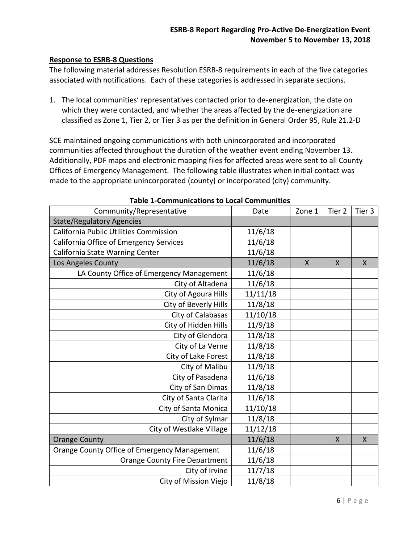## **Response to ESRB-8 Questions**

The following material addresses Resolution ESRB-8 requirements in each of the five categories associated with notifications. Each of these categories is addressed in separate sections.

1. The local communities' representatives contacted prior to de-energization, the date on which they were contacted, and whether the areas affected by the de-energization are classified as Zone 1, Tier 2, or Tier 3 as per the definition in General Order 95, Rule 21.2-D

SCE maintained ongoing communications with both unincorporated and incorporated communities affected throughout the duration of the weather event ending November 13. Additionally, PDF maps and electronic mapping files for affected areas were sent to all County Offices of Emergency Management. The following table illustrates when initial contact was made to the appropriate unincorporated (county) or incorporated (city) community.

| Community/Representative                     | Date     | Zone 1       | Tier <sub>2</sub> | Tier 3       |
|----------------------------------------------|----------|--------------|-------------------|--------------|
| <b>State/Regulatory Agencies</b>             |          |              |                   |              |
| California Public Utilities Commission       | 11/6/18  |              |                   |              |
| California Office of Emergency Services      | 11/6/18  |              |                   |              |
| California State Warning Center              | 11/6/18  |              |                   |              |
| Los Angeles County                           | 11/6/18  | $\mathsf{X}$ | $\mathsf{X}$      | $\mathsf{X}$ |
| LA County Office of Emergency Management     | 11/6/18  |              |                   |              |
| City of Altadena                             | 11/6/18  |              |                   |              |
| City of Agoura Hills                         | 11/11/18 |              |                   |              |
| City of Beverly Hills                        | 11/8/18  |              |                   |              |
| City of Calabasas                            | 11/10/18 |              |                   |              |
| City of Hidden Hills                         | 11/9/18  |              |                   |              |
| City of Glendora                             | 11/8/18  |              |                   |              |
| City of La Verne                             | 11/8/18  |              |                   |              |
| City of Lake Forest                          | 11/8/18  |              |                   |              |
| City of Malibu                               | 11/9/18  |              |                   |              |
| City of Pasadena                             | 11/6/18  |              |                   |              |
| City of San Dimas                            | 11/8/18  |              |                   |              |
| City of Santa Clarita                        | 11/6/18  |              |                   |              |
| City of Santa Monica                         | 11/10/18 |              |                   |              |
| City of Sylmar                               | 11/8/18  |              |                   |              |
| City of Westlake Village                     | 11/12/18 |              |                   |              |
| <b>Orange County</b>                         | 11/6/18  |              | X                 | X            |
| Orange County Office of Emergency Management | 11/6/18  |              |                   |              |
| <b>Orange County Fire Department</b>         | 11/6/18  |              |                   |              |
| City of Irvine                               | 11/7/18  |              |                   |              |
| City of Mission Viejo                        | 11/8/18  |              |                   |              |

#### **Table 1-Communications to Local Communities**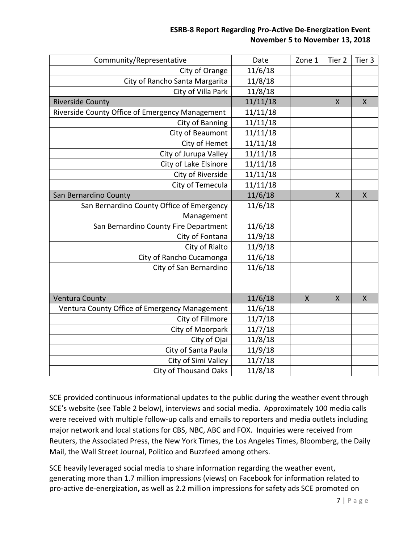| Community/Representative                        | Date     | Zone 1       | Tier <sub>2</sub> | Tier 3       |
|-------------------------------------------------|----------|--------------|-------------------|--------------|
| City of Orange                                  | 11/6/18  |              |                   |              |
| City of Rancho Santa Margarita                  | 11/8/18  |              |                   |              |
| City of Villa Park                              | 11/8/18  |              |                   |              |
| <b>Riverside County</b>                         | 11/11/18 |              | X                 | X            |
| Riverside County Office of Emergency Management | 11/11/18 |              |                   |              |
| City of Banning                                 | 11/11/18 |              |                   |              |
| City of Beaumont                                | 11/11/18 |              |                   |              |
| City of Hemet                                   | 11/11/18 |              |                   |              |
| City of Jurupa Valley                           | 11/11/18 |              |                   |              |
| City of Lake Elsinore                           | 11/11/18 |              |                   |              |
| City of Riverside                               | 11/11/18 |              |                   |              |
| City of Temecula                                | 11/11/18 |              |                   |              |
| San Bernardino County                           | 11/6/18  |              | X                 | $\mathsf{X}$ |
| San Bernardino County Office of Emergency       | 11/6/18  |              |                   |              |
| Management                                      |          |              |                   |              |
| San Bernardino County Fire Department           | 11/6/18  |              |                   |              |
| City of Fontana                                 | 11/9/18  |              |                   |              |
| City of Rialto                                  | 11/9/18  |              |                   |              |
| City of Rancho Cucamonga                        | 11/6/18  |              |                   |              |
| City of San Bernardino                          | 11/6/18  |              |                   |              |
|                                                 |          |              |                   |              |
|                                                 |          |              |                   |              |
| <b>Ventura County</b>                           | 11/6/18  | $\mathsf{X}$ | $\sf X$           | $\sf X$      |
| Ventura County Office of Emergency Management   | 11/6/18  |              |                   |              |
| City of Fillmore                                | 11/7/18  |              |                   |              |
| City of Moorpark                                | 11/7/18  |              |                   |              |
| City of Ojai                                    | 11/8/18  |              |                   |              |
| City of Santa Paula                             | 11/9/18  |              |                   |              |
| City of Simi Valley                             | 11/7/18  |              |                   |              |
| <b>City of Thousand Oaks</b>                    | 11/8/18  |              |                   |              |

SCE provided continuous informational updates to the public during the weather event through SCE's website (see Table 2 below), interviews and social media. Approximately 100 media calls were received with multiple follow-up calls and emails to reporters and media outlets including major network and local stations for CBS, NBC, ABC and FOX. Inquiries were received from Reuters, the Associated Press, the New York Times, the Los Angeles Times, Bloomberg, the Daily Mail, the Wall Street Journal, Politico and Buzzfeed among others.

SCE heavily leveraged social media to share information regarding the weather event, generating more than 1.7 million impressions (views) on Facebook for information related to pro-active de-energization**,** as well as 2.2 million impressions for safety ads SCE promoted on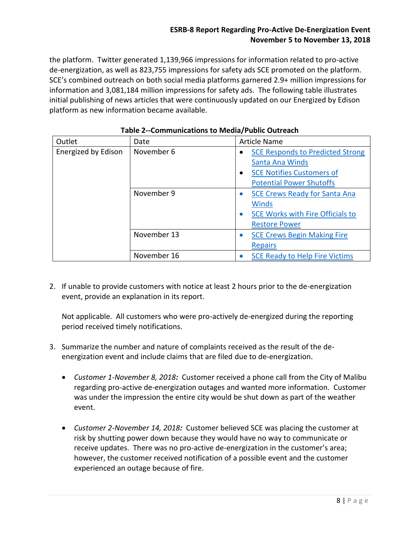the platform. Twitter generated 1,139,966 impressions for information related to pro-active de-energization, as well as 823,755 impressions for safety ads SCE promoted on the platform. SCE's combined outreach on both social media platforms garnered 2.9+ million impressions for information and 3,081,184 million impressions for safety ads. The following table illustrates initial publishing of news articles that were continuously updated on our Energized by Edison platform as new information became available.

| Outlet              | Date        | <b>Article Name</b>                                  |  |
|---------------------|-------------|------------------------------------------------------|--|
| Energized by Edison | November 6  | <b>SCE Responds to Predicted Strong</b>              |  |
|                     |             | Santa Ana Winds                                      |  |
|                     |             | <b>SCE Notifies Customers of</b><br>$\bullet$        |  |
|                     |             | <b>Potential Power Shutoffs</b>                      |  |
|                     | November 9  | <b>SCE Crews Ready for Santa Ana</b>                 |  |
|                     |             | Winds                                                |  |
|                     |             | <b>SCE Works with Fire Officials to</b><br>$\bullet$ |  |
|                     |             | <b>Restore Power</b>                                 |  |
|                     | November 13 | <b>SCE Crews Begin Making Fire</b><br>۰              |  |
|                     |             | <b>Repairs</b>                                       |  |
|                     | November 16 | <b>SCE Ready to Help Fire Victims</b>                |  |

|  | Table 2--Communications to Media/Public Outreach |  |  |
|--|--------------------------------------------------|--|--|
|--|--------------------------------------------------|--|--|

2. If unable to provide customers with notice at least 2 hours prior to the de-energization event, provide an explanation in its report.

Not applicable. All customers who were pro-actively de-energized during the reporting period received timely notifications.

- 3. Summarize the number and nature of complaints received as the result of the deenergization event and include claims that are filed due to de-energization.
	- *Customer 1-November 8, 2018:* Customer received a phone call from the City of Malibu regarding pro-active de-energization outages and wanted more information. Customer was under the impression the entire city would be shut down as part of the weather event.
	- *Customer 2-November 14, 2018:* Customer believed SCE was placing the customer at risk by shutting power down because they would have no way to communicate or receive updates. There was no pro-active de-energization in the customer's area; however, the customer received notification of a possible event and the customer experienced an outage because of fire.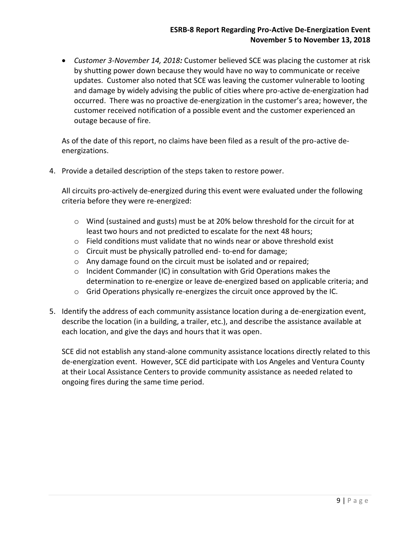*Customer 3-November 14, 2018:* Customer believed SCE was placing the customer at risk by shutting power down because they would have no way to communicate or receive updates. Customer also noted that SCE was leaving the customer vulnerable to looting and damage by widely advising the public of cities where pro-active de-energization had occurred. There was no proactive de-energization in the customer's area; however, the customer received notification of a possible event and the customer experienced an outage because of fire.

As of the date of this report, no claims have been filed as a result of the pro-active deenergizations.

4. Provide a detailed description of the steps taken to restore power.

All circuits pro-actively de-energized during this event were evaluated under the following criteria before they were re-energized:

- $\circ$  Wind (sustained and gusts) must be at 20% below threshold for the circuit for at least two hours and not predicted to escalate for the next 48 hours;
- o Field conditions must validate that no winds near or above threshold exist
- o Circuit must be physically patrolled end- to-end for damage;
- o Any damage found on the circuit must be isolated and or repaired;
- o Incident Commander (IC) in consultation with Grid Operations makes the determination to re-energize or leave de-energized based on applicable criteria; and
- $\circ$  Grid Operations physically re-energizes the circuit once approved by the IC.
- 5. Identify the address of each community assistance location during a de-energization event, describe the location (in a building, a trailer, etc.), and describe the assistance available at each location, and give the days and hours that it was open.

SCE did not establish any stand-alone community assistance locations directly related to this de-energization event. However, SCE did participate with Los Angeles and Ventura County at their Local Assistance Centers to provide community assistance as needed related to ongoing fires during the same time period.